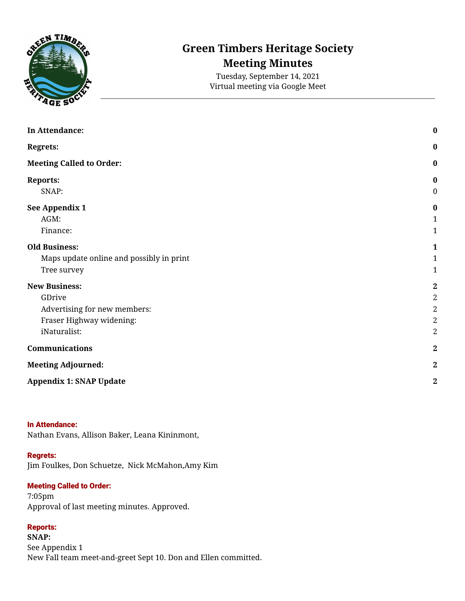

# **Green Timbers Heritage Society Meeting Minutes**

Tuesday, September 14, 2021 Virtual meeting via Google Meet

| In Attendance:                           | $\bf{0}$                     |
|------------------------------------------|------------------------------|
| <b>Regrets:</b>                          | $\bf{0}$<br>$\boldsymbol{0}$ |
| <b>Meeting Called to Order:</b>          |                              |
| <b>Reports:</b>                          | 0                            |
| SNAP:                                    | $\pmb{0}$                    |
| See Appendix 1                           | $\boldsymbol{0}$             |
| AGM:                                     | $\mathbf{1}$                 |
| Finance:                                 | 1                            |
| <b>Old Business:</b>                     | 1                            |
| Maps update online and possibly in print | 1                            |
| Tree survey                              | $\mathbf{1}$                 |
| <b>New Business:</b>                     | $\bf 2$                      |
| GDrive                                   | $\boldsymbol{2}$             |
| Advertising for new members:             | $\sqrt{2}$                   |
| Fraser Highway widening:                 | $\overline{2}$               |
| iNaturalist:                             | $\overline{2}$               |
| Communications                           | $\boldsymbol{2}$             |
| <b>Meeting Adjourned:</b>                | $\boldsymbol{2}$             |
| <b>Appendix 1: SNAP Update</b>           | $\boldsymbol{2}$             |

#### <span id="page-0-0"></span>In Attendance:

Nathan Evans, Allison Baker, Leana Kininmont,

#### <span id="page-0-1"></span>Regrets:

Jim Foulkes, Don Schuetze, Nick McMahon,Amy Kim

#### <span id="page-0-2"></span>Meeting Called to Order:

7:05pm Approval of last meeting minutes. Approved.

## <span id="page-0-3"></span>Reports:

<span id="page-0-5"></span><span id="page-0-4"></span>**SNAP:** See Appendix 1 New Fall team meet-and-greet Sept 10. Don and Ellen committed.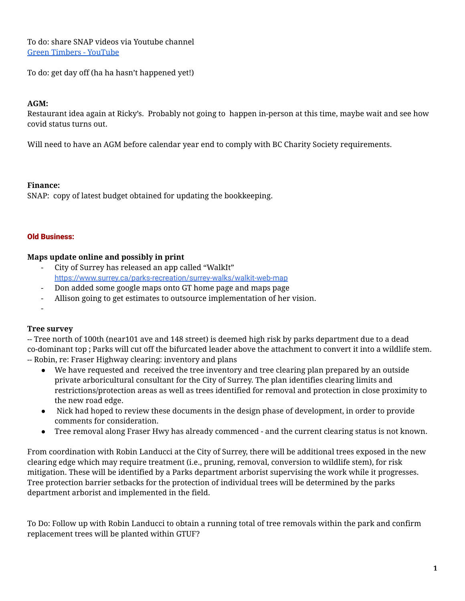To do: share SNAP videos via Youtube channel Green Timbers - [YouTube](https://www.youtube.com/channel/UCsJ8NrN5--YHuerWx8MFlsQ)

To do: get day off (ha ha hasn't happened yet!)

## <span id="page-1-0"></span>**AGM:**

Restaurant idea again at Ricky's. Probably not going to happen in-person at this time, maybe wait and see how covid status turns out.

Will need to have an AGM before calendar year end to comply with BC Charity Society requirements.

### <span id="page-1-1"></span>**Finance:**

SNAP: copy of latest budget obtained for updating the bookkeeping.

#### <span id="page-1-2"></span>Old Business:

### <span id="page-1-3"></span>**Maps update online and possibly in print**

- City of Surrey has released an app called "WalkIt" <https://www.surrey.ca/parks-recreation/surrey-walks/walkit-web-map>
- Don added some google maps onto GT home page and maps page
- Allison going to get estimates to outsource implementation of her vision.
- -

### <span id="page-1-4"></span>**Tree survey**

-- Tree north of 100th (near101 ave and 148 street) is deemed high risk by parks department due to a dead co-dominant top ; Parks will cut off the bifurcated leader above the attachment to convert it into a wildlife stem. -- Robin, re: Fraser Highway clearing: inventory and plans

- We have requested and received the tree inventory and tree clearing plan prepared by an outside private arboricultural consultant for the City of Surrey. The plan identifies clearing limits and restrictions/protection areas as well as trees identified for removal and protection in close proximity to the new road edge.
- Nick had hoped to review these documents in the design phase of development, in order to provide comments for consideration.
- Tree removal along Fraser Hwy has already commenced and the current clearing status is not known.

From coordination with Robin Landucci at the City of Surrey, there will be additional trees exposed in the new clearing edge which may require treatment (i.e., pruning, removal, conversion to wildlife stem), for risk mitigation. These will be identified by a Parks department arborist supervising the work while it progresses. Tree protection barrier setbacks for the protection of individual trees will be determined by the parks department arborist and implemented in the field.

To Do: Follow up with Robin Landucci to obtain a running total of tree removals within the park and confirm replacement trees will be planted within GTUF?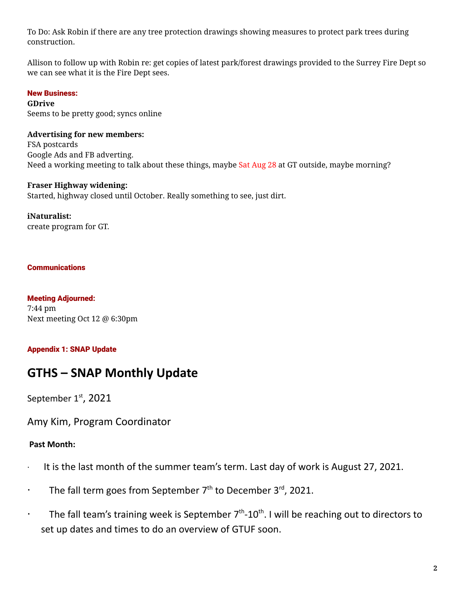To Do: Ask Robin if there are any tree protection drawings showing measures to protect park trees during construction.

Allison to follow up with Robin re: get copies of latest park/forest drawings provided to the Surrey Fire Dept so we can see what it is the Fire Dept sees.

## <span id="page-2-0"></span>New Business:

<span id="page-2-1"></span>**GDrive** Seems to be pretty good; syncs online

## <span id="page-2-2"></span>**Advertising for new members:**

FSA postcards Google Ads and FB adverting. Need a working meeting to talk about these things, maybe Sat Aug 28 at GT outside, maybe morning?

## <span id="page-2-3"></span>**Fraser Highway widening:**

Started, highway closed until October. Really something to see, just dirt.

### <span id="page-2-4"></span>**iNaturalist:**

create program for GT.

### <span id="page-2-5"></span>**Communications**

<span id="page-2-6"></span>Meeting Adjourned: 7:44 pm Next meeting Oct 12 @ 6:30pm

## <span id="page-2-7"></span>Appendix 1: SNAP Update

## **GTHS – SNAP Monthly Update**

September 1<sup>st</sup>, 2021

Amy Kim, Program Coordinator

## **Past Month:**

- · It is the last month of the summer team's term. Last day of work is August 27, 2021.
- The fall term goes from September  $7<sup>th</sup>$  to December 3<sup>rd</sup>, 2021.
- $\cdot$  The fall team's training week is September 7<sup>th</sup>-10<sup>th</sup>. I will be reaching out to directors to set up dates and times to do an overview of GTUF soon.